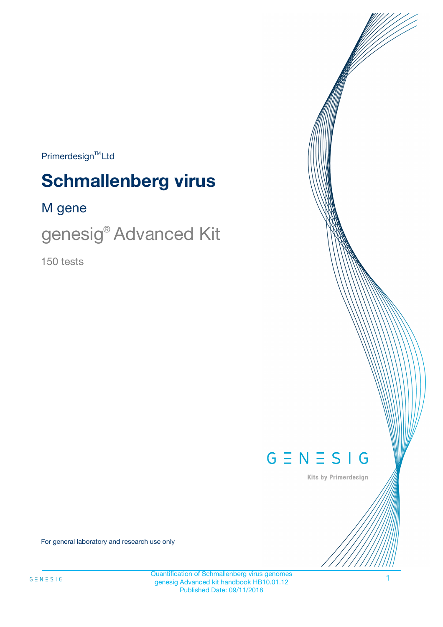$Primerdesign^{\text{TM}}Ltd$ 

# **Schmallenberg virus**

# M gene

genesig® Advanced Kit

150 tests



Kits by Primerdesign

For general laboratory and research use only

1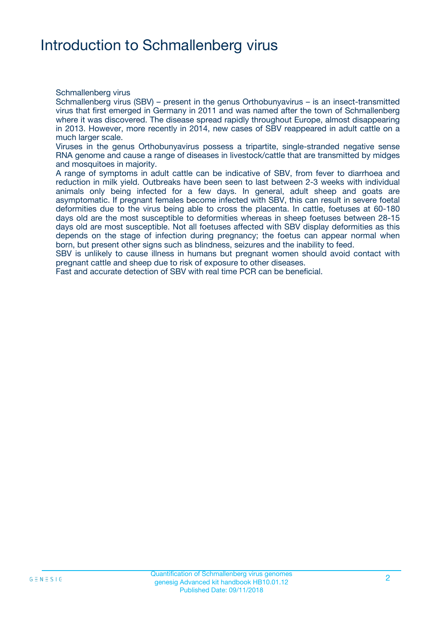# Introduction to Schmallenberg virus

Schmallenberg virus

Schmallenberg virus (SBV) – present in the genus Orthobunyavirus – is an insect-transmitted virus that first emerged in Germany in 2011 and was named after the town of Schmallenberg where it was discovered. The disease spread rapidly throughout Europe, almost disappearing in 2013. However, more recently in 2014, new cases of SBV reappeared in adult cattle on a much larger scale.

Viruses in the genus Orthobunyavirus possess a tripartite, single-stranded negative sense RNA genome and cause a range of diseases in livestock/cattle that are transmitted by midges and mosquitoes in majority.

A range of symptoms in adult cattle can be indicative of SBV, from fever to diarrhoea and reduction in milk yield. Outbreaks have been seen to last between 2-3 weeks with individual animals only being infected for a few days. In general, adult sheep and goats are asymptomatic. If pregnant females become infected with SBV, this can result in severe foetal deformities due to the virus being able to cross the placenta. In cattle, foetuses at 60-180 days old are the most susceptible to deformities whereas in sheep foetuses between 28-15 days old are most susceptible. Not all foetuses affected with SBV display deformities as this depends on the stage of infection during pregnancy; the foetus can appear normal when born, but present other signs such as blindness, seizures and the inability to feed.

SBV is unlikely to cause illness in humans but pregnant women should avoid contact with pregnant cattle and sheep due to risk of exposure to other diseases.

Fast and accurate detection of SBV with real time PCR can be beneficial.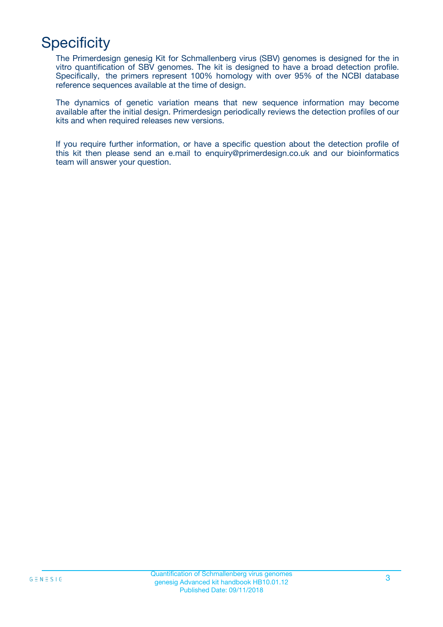# **Specificity**

The Primerdesign genesig Kit for Schmallenberg virus (SBV) genomes is designed for the in vitro quantification of SBV genomes. The kit is designed to have a broad detection profile. Specifically, the primers represent 100% homology with over 95% of the NCBI database reference sequences available at the time of design.

The dynamics of genetic variation means that new sequence information may become available after the initial design. Primerdesign periodically reviews the detection profiles of our kits and when required releases new versions.

If you require further information, or have a specific question about the detection profile of this kit then please send an e.mail to enquiry@primerdesign.co.uk and our bioinformatics team will answer your question.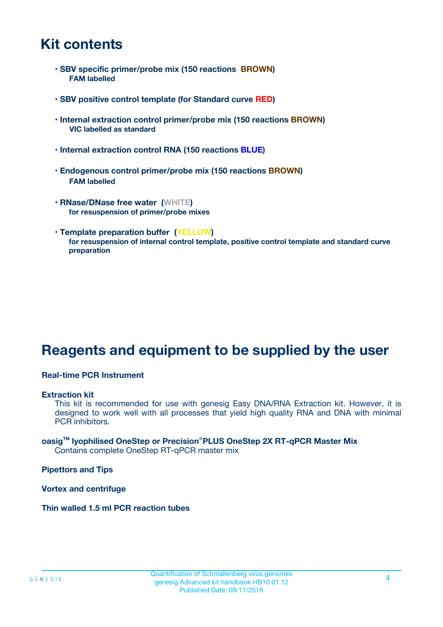# **Kit contents**

- **SBV specific primer/probe mix (150 reactions BROWN) FAM labelled**
- **SBV positive control template (for Standard curve RED)**
- **Internal extraction control primer/probe mix (150 reactions BROWN) VIC labelled as standard**
- **Internal extraction control RNA (150 reactions BLUE)**
- **Endogenous control primer/probe mix (150 reactions BROWN) FAM labelled**
- **RNase/DNase free water (WHITE) for resuspension of primer/probe mixes**
- **Template preparation buffer (YELLOW) for resuspension of internal control template, positive control template and standard curve preparation**

# **Reagents and equipment to be supplied by the user**

#### **Real-time PCR Instrument**

#### **Extraction kit**

This kit is recommended for use with genesig Easy DNA/RNA Extraction kit. However, it is designed to work well with all processes that yield high quality RNA and DNA with minimal PCR inhibitors.

#### **oasigTM lyophilised OneStep or Precision**®**PLUS OneStep 2X RT-qPCR Master Mix** Contains complete OneStep RT-qPCR master mix

**Pipettors and Tips**

**Vortex and centrifuge**

**Thin walled 1.5 ml PCR reaction tubes**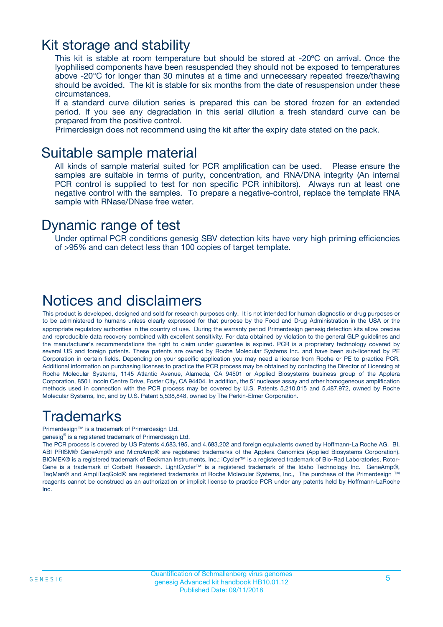### Kit storage and stability

This kit is stable at room temperature but should be stored at -20ºC on arrival. Once the lyophilised components have been resuspended they should not be exposed to temperatures above -20°C for longer than 30 minutes at a time and unnecessary repeated freeze/thawing should be avoided. The kit is stable for six months from the date of resuspension under these circumstances.

If a standard curve dilution series is prepared this can be stored frozen for an extended period. If you see any degradation in this serial dilution a fresh standard curve can be prepared from the positive control.

Primerdesign does not recommend using the kit after the expiry date stated on the pack.

### Suitable sample material

All kinds of sample material suited for PCR amplification can be used. Please ensure the samples are suitable in terms of purity, concentration, and RNA/DNA integrity (An internal PCR control is supplied to test for non specific PCR inhibitors). Always run at least one negative control with the samples. To prepare a negative-control, replace the template RNA sample with RNase/DNase free water.

### Dynamic range of test

Under optimal PCR conditions genesig SBV detection kits have very high priming efficiencies of >95% and can detect less than 100 copies of target template.

### Notices and disclaimers

This product is developed, designed and sold for research purposes only. It is not intended for human diagnostic or drug purposes or to be administered to humans unless clearly expressed for that purpose by the Food and Drug Administration in the USA or the appropriate regulatory authorities in the country of use. During the warranty period Primerdesign genesig detection kits allow precise and reproducible data recovery combined with excellent sensitivity. For data obtained by violation to the general GLP guidelines and the manufacturer's recommendations the right to claim under guarantee is expired. PCR is a proprietary technology covered by several US and foreign patents. These patents are owned by Roche Molecular Systems Inc. and have been sub-licensed by PE Corporation in certain fields. Depending on your specific application you may need a license from Roche or PE to practice PCR. Additional information on purchasing licenses to practice the PCR process may be obtained by contacting the Director of Licensing at Roche Molecular Systems, 1145 Atlantic Avenue, Alameda, CA 94501 or Applied Biosystems business group of the Applera Corporation, 850 Lincoln Centre Drive, Foster City, CA 94404. In addition, the 5' nuclease assay and other homogeneous amplification methods used in connection with the PCR process may be covered by U.S. Patents 5,210,015 and 5,487,972, owned by Roche Molecular Systems, Inc, and by U.S. Patent 5,538,848, owned by The Perkin-Elmer Corporation.

# Trademarks

Primerdesign™ is a trademark of Primerdesign Ltd.

genesig® is a registered trademark of Primerdesign Ltd.

The PCR process is covered by US Patents 4,683,195, and 4,683,202 and foreign equivalents owned by Hoffmann-La Roche AG. BI, ABI PRISM® GeneAmp® and MicroAmp® are registered trademarks of the Applera Genomics (Applied Biosystems Corporation). BIOMEK® is a registered trademark of Beckman Instruments, Inc.; iCycler™ is a registered trademark of Bio-Rad Laboratories, Rotor-Gene is a trademark of Corbett Research. LightCycler™ is a registered trademark of the Idaho Technology Inc. GeneAmp®, TaqMan® and AmpliTaqGold® are registered trademarks of Roche Molecular Systems, Inc., The purchase of the Primerdesign ™ reagents cannot be construed as an authorization or implicit license to practice PCR under any patents held by Hoffmann-LaRoche Inc.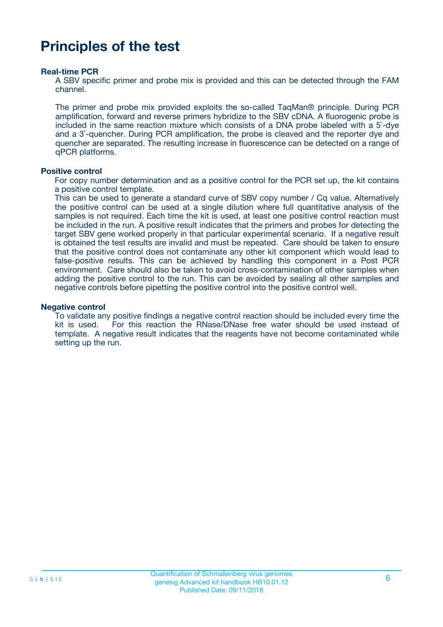# **Principles of the test**

#### **Real-time PCR**

A SBV specific primer and probe mix is provided and this can be detected through the FAM channel.

The primer and probe mix provided exploits the so-called TaqMan® principle. During PCR amplification, forward and reverse primers hybridize to the SBV cDNA. A fluorogenic probe is included in the same reaction mixture which consists of a DNA probe labeled with a 5`-dye and a 3`-quencher. During PCR amplification, the probe is cleaved and the reporter dye and quencher are separated. The resulting increase in fluorescence can be detected on a range of qPCR platforms.

#### **Positive control**

For copy number determination and as a positive control for the PCR set up, the kit contains a positive control template.

This can be used to generate a standard curve of SBV copy number / Cq value. Alternatively the positive control can be used at a single dilution where full quantitative analysis of the samples is not required. Each time the kit is used, at least one positive control reaction must be included in the run. A positive result indicates that the primers and probes for detecting the target SBV gene worked properly in that particular experimental scenario. If a negative result is obtained the test results are invalid and must be repeated. Care should be taken to ensure that the positive control does not contaminate any other kit component which would lead to false-positive results. This can be achieved by handling this component in a Post PCR environment. Care should also be taken to avoid cross-contamination of other samples when adding the positive control to the run. This can be avoided by sealing all other samples and negative controls before pipetting the positive control into the positive control well.

#### **Negative control**

To validate any positive findings a negative control reaction should be included every time the kit is used. For this reaction the RNase/DNase free water should be used instead of template. A negative result indicates that the reagents have not become contaminated while setting up the run.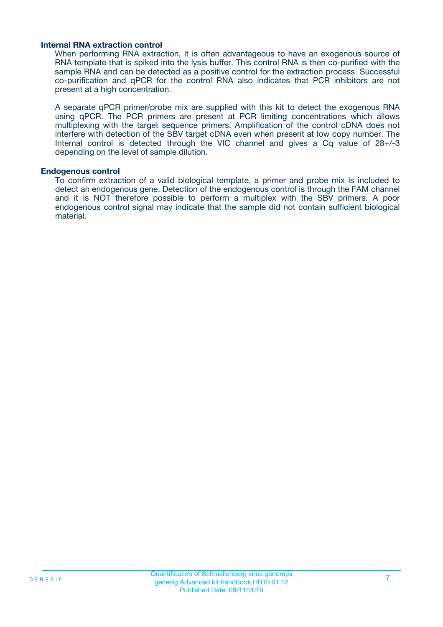#### **Internal RNA extraction control**

When performing RNA extraction, it is often advantageous to have an exogenous source of RNA template that is spiked into the lysis buffer. This control RNA is then co-purified with the sample RNA and can be detected as a positive control for the extraction process. Successful co-purification and qPCR for the control RNA also indicates that PCR inhibitors are not present at a high concentration.

A separate qPCR primer/probe mix are supplied with this kit to detect the exogenous RNA using qPCR. The PCR primers are present at PCR limiting concentrations which allows multiplexing with the target sequence primers. Amplification of the control cDNA does not interfere with detection of the SBV target cDNA even when present at low copy number. The Internal control is detected through the VIC channel and gives a Cq value of 28+/-3 depending on the level of sample dilution.

#### **Endogenous control**

To confirm extraction of a valid biological template, a primer and probe mix is included to detect an endogenous gene. Detection of the endogenous control is through the FAM channel and it is NOT therefore possible to perform a multiplex with the SBV primers. A poor endogenous control signal may indicate that the sample did not contain sufficient biological material.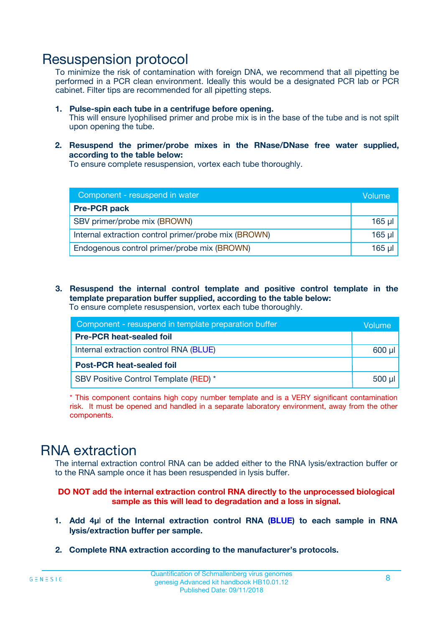### Resuspension protocol

To minimize the risk of contamination with foreign DNA, we recommend that all pipetting be performed in a PCR clean environment. Ideally this would be a designated PCR lab or PCR cabinet. Filter tips are recommended for all pipetting steps.

- **1. Pulse-spin each tube in a centrifuge before opening.** This will ensure lyophilised primer and probe mix is in the base of the tube and is not spilt upon opening the tube.
- **2. Resuspend the primer/probe mixes in the RNase/DNase free water supplied, according to the table below:**

To ensure complete resuspension, vortex each tube thoroughly.

| Component - resuspend in water                       | Volume   |
|------------------------------------------------------|----------|
| <b>Pre-PCR pack</b>                                  |          |
| SBV primer/probe mix (BROWN)                         | $165$ µl |
| Internal extraction control primer/probe mix (BROWN) | $165$ µl |
| Endogenous control primer/probe mix (BROWN)          | 165 µl   |

**3. Resuspend the internal control template and positive control template in the template preparation buffer supplied, according to the table below:** To ensure complete resuspension, vortex each tube thoroughly.

| Component - resuspend in template preparation buffer |             |  |  |
|------------------------------------------------------|-------------|--|--|
| <b>Pre-PCR heat-sealed foil</b>                      |             |  |  |
| Internal extraction control RNA (BLUE)               |             |  |  |
| <b>Post-PCR heat-sealed foil</b>                     |             |  |  |
| SBV Positive Control Template (RED) *                | $500$ $\mu$ |  |  |

\* This component contains high copy number template and is a VERY significant contamination risk. It must be opened and handled in a separate laboratory environment, away from the other components.

# RNA extraction

The internal extraction control RNA can be added either to the RNA lysis/extraction buffer or to the RNA sample once it has been resuspended in lysis buffer.

#### **DO NOT add the internal extraction control RNA directly to the unprocessed biological sample as this will lead to degradation and a loss in signal.**

- **1. Add 4µ**l **of the Internal extraction control RNA (BLUE) to each sample in RNA lysis/extraction buffer per sample.**
- **2. Complete RNA extraction according to the manufacturer's protocols.**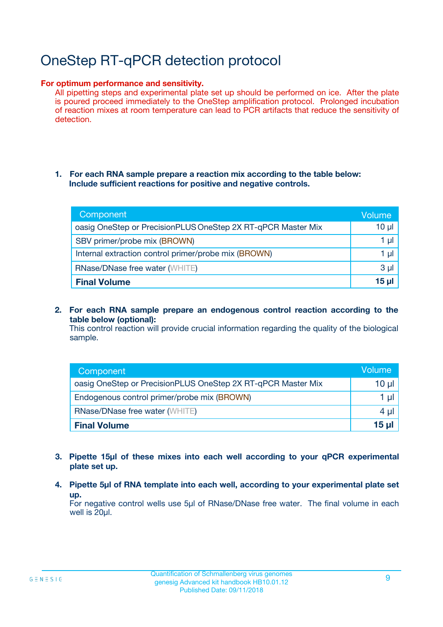# OneStep RT-qPCR detection protocol

#### **For optimum performance and sensitivity.**

All pipetting steps and experimental plate set up should be performed on ice. After the plate is poured proceed immediately to the OneStep amplification protocol. Prolonged incubation of reaction mixes at room temperature can lead to PCR artifacts that reduce the sensitivity of detection.

#### **1. For each RNA sample prepare a reaction mix according to the table below: Include sufficient reactions for positive and negative controls.**

| Component                                                    | <b>Volume</b> |
|--------------------------------------------------------------|---------------|
| oasig OneStep or PrecisionPLUS OneStep 2X RT-qPCR Master Mix | $10 \mu$      |
| SBV primer/probe mix (BROWN)                                 | 1 µI          |
| Internal extraction control primer/probe mix (BROWN)         | 1 µl          |
| <b>RNase/DNase free water (WHITE)</b>                        | $3 \mu$       |
| <b>Final Volume</b>                                          | 15 µl         |

**2. For each RNA sample prepare an endogenous control reaction according to the table below (optional):**

This control reaction will provide crucial information regarding the quality of the biological sample.

| Component                                                    | Volume   |
|--------------------------------------------------------------|----------|
| oasig OneStep or PrecisionPLUS OneStep 2X RT-qPCR Master Mix | 10 $\mu$ |
| Endogenous control primer/probe mix (BROWN)                  | 1 ul     |
| <b>RNase/DNase free water (WHITE)</b>                        | $4 \mu$  |
| <b>Final Volume</b>                                          | 15 µl    |

- **3. Pipette 15µl of these mixes into each well according to your qPCR experimental plate set up.**
- **4. Pipette 5µl of RNA template into each well, according to your experimental plate set up.**

For negative control wells use 5µl of RNase/DNase free water. The final volume in each well is 20µl.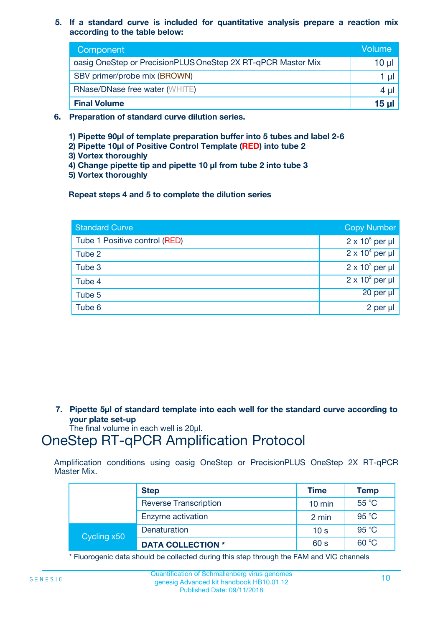**5. If a standard curve is included for quantitative analysis prepare a reaction mix according to the table below:**

| Component                                                    | Volume       |
|--------------------------------------------------------------|--------------|
| oasig OneStep or PrecisionPLUS OneStep 2X RT-qPCR Master Mix | $10 \mu$     |
| SBV primer/probe mix (BROWN)                                 |              |
| <b>RNase/DNase free water (WHITE)</b>                        | 4 µ          |
| <b>Final Volume</b>                                          | <u>15 µl</u> |

- **6. Preparation of standard curve dilution series.**
	- **1) Pipette 90µl of template preparation buffer into 5 tubes and label 2-6**
	- **2) Pipette 10µl of Positive Control Template (RED) into tube 2**
	- **3) Vortex thoroughly**
	- **4) Change pipette tip and pipette 10 µl from tube 2 into tube 3**
	- **5) Vortex thoroughly**

**Repeat steps 4 and 5 to complete the dilution series**

| <b>Standard Curve</b>         | <b>Copy Number</b>     |
|-------------------------------|------------------------|
| Tube 1 Positive control (RED) | $2 \times 10^5$ per µl |
| Tube 2                        | $2 \times 10^4$ per µl |
| Tube 3                        | $2 \times 10^3$ per µl |
| Tube 4                        | $2 \times 10^2$ per µl |
| Tube 5                        | 20 per µl              |
| Tube 6                        | 2 per µl               |

**7. Pipette 5µl of standard template into each well for the standard curve according to your plate set-up**

The final volume in each well is 20µl.

# OneStep RT-qPCR Amplification Protocol

Amplification conditions using oasig OneStep or PrecisionPLUS OneStep 2X RT-qPCR Master Mix.

|             | <b>Step</b>                  | <b>Time</b>      | <b>Temp</b> |
|-------------|------------------------------|------------------|-------------|
|             | <b>Reverse Transcription</b> | $10 \text{ min}$ | 55 °C       |
|             | Enzyme activation            | 2 min            | 95 °C       |
| Cycling x50 | Denaturation                 | 10 <sub>s</sub>  | 95 °C       |
|             | <b>DATA COLLECTION *</b>     | 60 s             | 60 °C       |

\* Fluorogenic data should be collected during this step through the FAM and VIC channels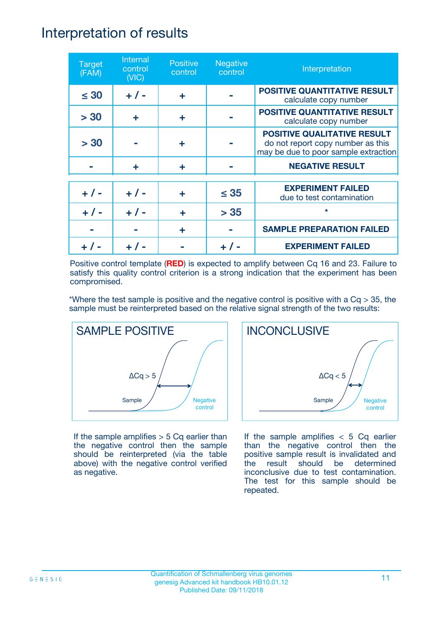### Interpretation of results

| <b>Target</b><br>(FAM) | Internal<br>control<br>(NIC) | <b>Positive</b><br>control | <b>Negative</b><br>control | Interpretation                                                                                                  |
|------------------------|------------------------------|----------------------------|----------------------------|-----------------------------------------------------------------------------------------------------------------|
| $\leq 30$              | $+ 1 -$                      | ÷                          |                            | <b>POSITIVE QUANTITATIVE RESULT</b><br>calculate copy number                                                    |
| > 30                   | ÷                            | ÷                          |                            | <b>POSITIVE QUANTITATIVE RESULT</b><br>calculate copy number                                                    |
| > 30                   |                              | ÷                          |                            | <b>POSITIVE QUALITATIVE RESULT</b><br>do not report copy number as this<br>may be due to poor sample extraction |
|                        | ÷                            | ÷                          |                            | <b>NEGATIVE RESULT</b>                                                                                          |
| $+ 1 -$                | $+ 1 -$                      | ÷                          | $\leq$ 35                  | <b>EXPERIMENT FAILED</b><br>due to test contamination                                                           |
|                        | $+$ / -                      |                            | > 35                       | $\star$                                                                                                         |
|                        |                              | ÷                          |                            | <b>SAMPLE PREPARATION FAILED</b>                                                                                |
|                        |                              |                            |                            | <b>EXPERIMENT FAILED</b>                                                                                        |

Positive control template (**RED**) is expected to amplify between Cq 16 and 23. Failure to satisfy this quality control criterion is a strong indication that the experiment has been compromised.

\*Where the test sample is positive and the negative control is positive with a  $Cq > 35$ , the sample must be reinterpreted based on the relative signal strength of the two results:



If the sample amplifies  $> 5$  Cq earlier than the negative control then the sample should be reinterpreted (via the table above) with the negative control verified as negative.



If the sample amplifies  $< 5$  Cq earlier than the negative control then the positive sample result is invalidated and the result should be determined inconclusive due to test contamination. The test for this sample should be repeated.